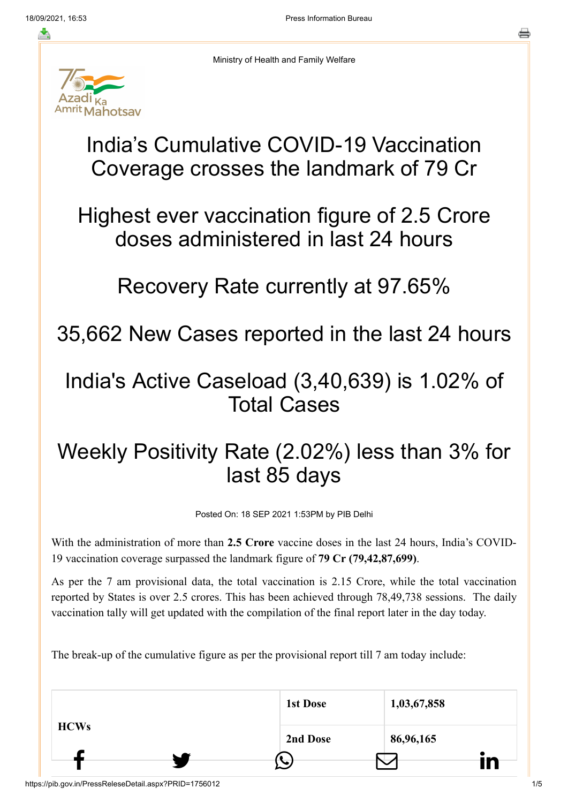

Ministry of Health and Family Welfare

## India's Cumulative COVID-19 Vaccination Coverage crosses the landmark of 79 Cr

Highest ever vaccination figure of 2.5 Crore doses administered in last 24 hours

## Recovery Rate currently at 97.65%

35,662 New Cases reported in the last 24 hours

## India's Active Caseload (3,40,639) is 1.02% of Total Cases

## Weekly Positivity Rate (2.02%) less than 3% for last 85 days

Posted On: 18 SEP 2021 1:53PM by PIB Delhi

With the administration of more than **2.5 Crore** vaccine doses in the last 24 hours, India's COVID-19 vaccination coverage surpassed the landmark figure of **79 Cr (79,42,87,699)**.

As per the 7 am provisional data, the total vaccination is 2.15 Crore, while the total vaccination reported by States is over 2.5 crores. This has been achieved through 78,49,738 sessions. The daily vaccination tally will get updated with the compilation of the final report later in the day today.

The break-up of the cumulative figure as per the provisional report till 7 am today include:

| <b>HCWs</b> | <b>1st Dose</b> | 1,03,67,858 |                |
|-------------|-----------------|-------------|----------------|
|             | 2nd Dose        | 86,96,165   |                |
|             | ↘               |             | $\bullet$<br>m |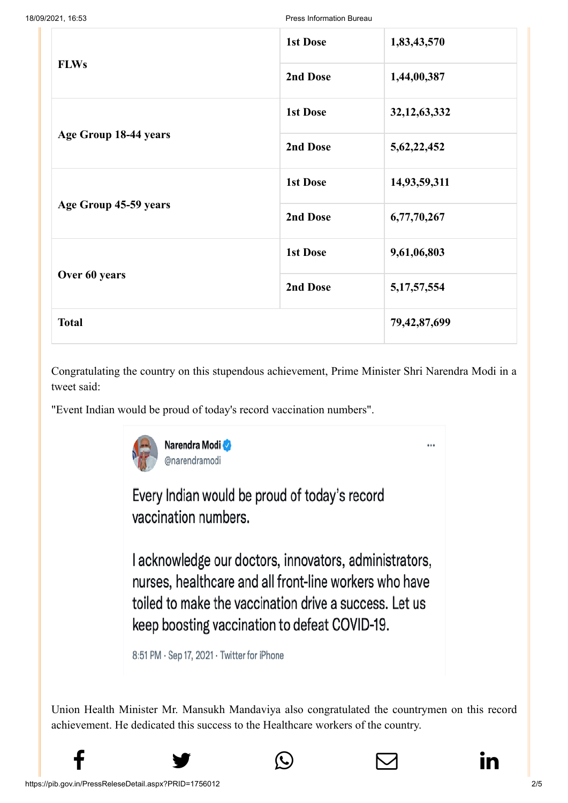18/09/2021, 16:53 Press Information Bureau

|                       | <b>1st Dose</b> | 1,83,43,570     |
|-----------------------|-----------------|-----------------|
| <b>FLWs</b>           | 2nd Dose        | 1,44,00,387     |
|                       | <b>1st Dose</b> | 32, 12, 63, 332 |
| Age Group 18-44 years | 2nd Dose        | 5, 62, 22, 452  |
|                       | <b>1st Dose</b> | 14,93,59,311    |
| Age Group 45-59 years | 2nd Dose        | 6,77,70,267     |
|                       | <b>1st Dose</b> | 9,61,06,803     |
| Over 60 years         | 2nd Dose        | 5, 17, 57, 554  |
| <b>Total</b>          | 79, 42, 87, 699 |                 |

Congratulating the country on this stupendous achievement, Prime Minister Shri Narendra Modi in a tweet said:

"Event Indian would be proud of today's record vaccination numbers".



Every Indian would be proud of today's record vaccination numbers.

I acknowledge our doctors, innovators, administrators, nurses, healthcare and all front-line workers who have toiled to make the vaccination drive a success. Let us keep boosting vaccination to defeat COVID-19.

8:51 PM · Sep 17, 2021 · Twitter for iPhone

Union Health Minister Mr. Mansukh Mandaviya also congratulated the countrymen on this record achievement. He dedicated this success to the Healthcare workers of the country.





...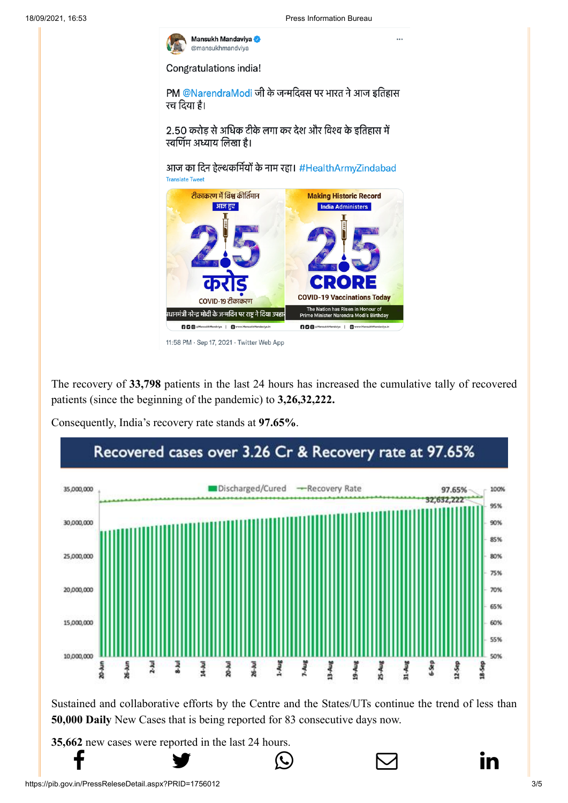

Congratulations india!

PM @NarendraModi जी के जन्मदिवस पर भारत ने आज इतिहास रच दिया है।

2.50 करोड़ से अधिक टीके लगा कर देश और विश्व के इतिहास में स्वर्णिम अध्याय लिखा है।

आज का दिन हेल्थकर्मियों के नाम रहा। #HealthArmyZindabad **Translate Tweet** 



<sup>11:58</sup> PM · Sep 17, 2021 · Twitter Web App

The recovery of **33,798** patients in the last 24 hours has increased the cumulative tally of recovered patients (since the beginning of the pandemic) to **3,26,32,222.**

Consequently, India's recovery rate stands at **97.65%**.



Sustained and collaborative efforts by the Centre and the States/UTs continue the trend of less than **50,000 Daily** New Cases that is being reported for 83 consecutive days now.

**35,662** [new cases](http://www.facebook.com/share.php?u=https://pib.gov.in/PressReleasePage.aspx?PRID=1756012) [were reported in the l](https://twitter.com/intent/tweet?url=https://pib.gov.in/PressReleasePage.aspx?PRID=1756012&text=India%E2%80%99s%20Cumulative%20COVID-19%20Vaccination%20Coverage%20crosses%20the%20landmark%20of%2079%20Cr)[ast 24 hours.](https://api.whatsapp.com/send?text=https://pib.gov.in/PressReleasePage.aspx?PRID=1756012)

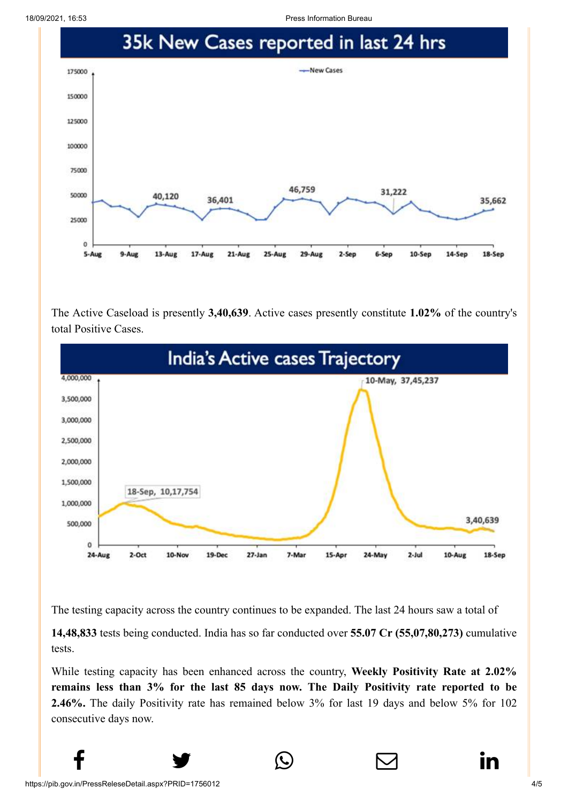18/09/2021, 16:53 Press Information Bureau



The Active Caseload is presently **3,40,639**. Active cases presently constitute **1.02%** of the country's total Positive Cases.



The testing capacity across the country continues to be expanded. The last 24 hours saw a total of

**14,48,833** tests being conducted. India has so far conducted over **55.07 Cr (55,07,80,273)** cumulative tests.

While testing capacity has been enhanced across the country, **Weekly Positivity Rate at 2.02% remains less than 3% for the last 85 days now. The Daily Positivity rate reported to be 2.46%.** The daily Positivity rate has remained below 3% for last 19 days and below 5% for 102 consecutive days now.

 $f$  y  $\circledcirc$   $\quad \circ$  in